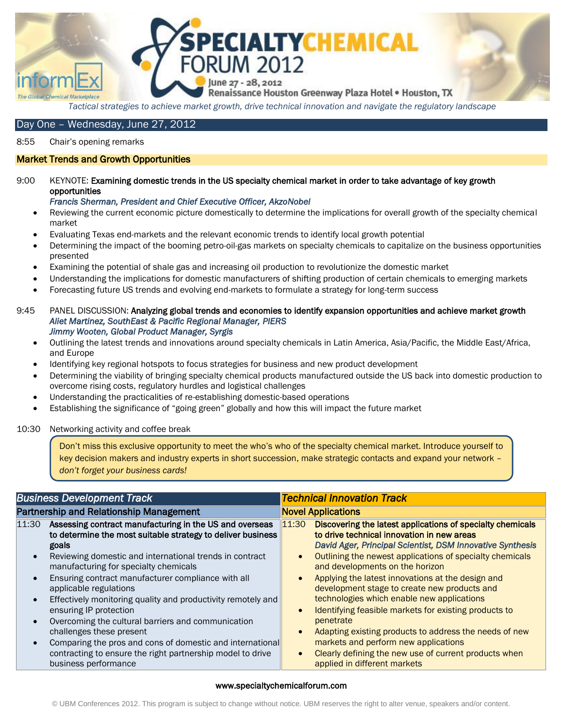

*Tactical strategies to achieve market growth, drive technical innovation and navigate the regulatory landscape* 

# Day One – Wednesday, June 27, 2012

8:55 Chair"s opening remarks

# Market Trends and Growth Opportunities

## 9:00 KEYNOTE: Examining domestic trends in the US specialty chemical market in order to take advantage of key growth opportunities

### *Francis Sherman, President and Chief Executive Officer, AkzoNobel*

- Reviewing the current economic picture domestically to determine the implications for overall growth of the specialty chemical market
- Evaluating Texas end-markets and the relevant economic trends to identify local growth potential
- Determining the impact of the booming petro-oil-gas markets on specialty chemicals to capitalize on the business opportunities presented
- Examining the potential of shale gas and increasing oil production to revolutionize the domestic market
- Understanding the implications for domestic manufacturers of shifting production of certain chemicals to emerging markets
- Forecasting future US trends and evolving end-markets to formulate a strategy for long-term success
- 9:45 PANEL DISCUSSION: Analyzing global trends and economies to identify expansion opportunities and achieve market growth  *Aliet Martinez, SouthEast & Pacific Regional Manager, PIERS Jimmy Wooten, Global Product Manager, Syrgis* 
	- Outlining the latest trends and innovations around specialty chemicals in Latin America, Asia/Pacific, the Middle East/Africa, and Europe
	- Identifying key regional hotspots to focus strategies for business and new product development
	- Determining the viability of bringing specialty chemical products manufactured outside the US back into domestic production to overcome rising costs, regulatory hurdles and logistical challenges
	- Understanding the practicalities of re-establishing domestic-based operations
	- Establishing the significance of "going green" globally and how this will impact the future market

### 10:30 Networking activity and coffee break

Don"t miss this exclusive opportunity to meet the who"s who of the specialty chemical market. Introduce yourself to key decision makers and industry experts in short succession, make strategic contacts and expand your network – *don't forget your business cards!*

| <b>Business Development Track</b>                                                                                                                                                                                                                                                                                                                                                                                                                                                                                                                                                                                                                           | <b>Technical Innovation Track</b>                                                                                                                                                                                                                                                                                                                                                                                                                                                                                                                                                                                                                                                                 |  |
|-------------------------------------------------------------------------------------------------------------------------------------------------------------------------------------------------------------------------------------------------------------------------------------------------------------------------------------------------------------------------------------------------------------------------------------------------------------------------------------------------------------------------------------------------------------------------------------------------------------------------------------------------------------|---------------------------------------------------------------------------------------------------------------------------------------------------------------------------------------------------------------------------------------------------------------------------------------------------------------------------------------------------------------------------------------------------------------------------------------------------------------------------------------------------------------------------------------------------------------------------------------------------------------------------------------------------------------------------------------------------|--|
| Partnership and Relationship Management                                                                                                                                                                                                                                                                                                                                                                                                                                                                                                                                                                                                                     | <b>Novel Applications</b>                                                                                                                                                                                                                                                                                                                                                                                                                                                                                                                                                                                                                                                                         |  |
| 11:30<br>Assessing contract manufacturing in the US and overseas<br>to determine the most suitable strategy to deliver business<br>goals<br>Reviewing domestic and international trends in contract<br>manufacturing for specialty chemicals<br>Ensuring contract manufacturer compliance with all<br>applicable regulations<br>Effectively monitoring quality and productivity remotely and<br>ensuring IP protection<br>Overcoming the cultural barriers and communication<br>challenges these present<br>Comparing the pros and cons of domestic and international<br>contracting to ensure the right partnership model to drive<br>business performance | Discovering the latest applications of specialty chemicals<br>11:30<br>to drive technical innovation in new areas<br>David Ager, Principal Scientist, DSM Innovative Synthesis<br>Outlining the newest applications of specialty chemicals<br>and developments on the horizon<br>Applying the latest innovations at the design and<br>development stage to create new products and<br>technologies which enable new applications<br>Identifying feasible markets for existing products to<br>penetrate<br>Adapting existing products to address the needs of new<br>markets and perform new applications<br>Clearly defining the new use of current products when<br>applied in different markets |  |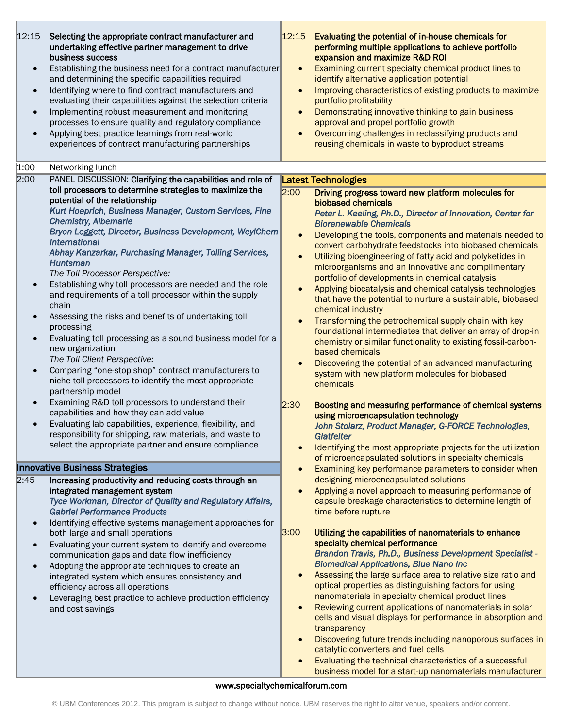| 12:15<br>$\bullet$<br>$\bullet$<br>$\bullet$<br>$\bullet$ | Selecting the appropriate contract manufacturer and<br>undertaking effective partner management to drive<br>business success<br>Establishing the business need for a contract manufacturer<br>and determining the specific capabilities required<br>Identifying where to find contract manufacturers and<br>evaluating their capabilities against the selection criteria<br>Implementing robust measurement and monitoring<br>processes to ensure quality and regulatory compliance<br>Applying best practice learnings from real-world<br>experiences of contract manufacturing partnerships                                                                                                                                                                                                                                                                                                                                                                                                                                                                                                                                      | 12:15<br>$\bullet$<br>$\bullet$<br>$\bullet$<br>$\bullet$ | Evaluating the potential of in-house chemicals for<br>performing multiple applications to achieve portfolio<br>expansion and maximize R&D ROI<br>Examining current specialty chemical product lines to<br>identify alternative application potential<br>Improving characteristics of existing products to maximize<br>portfolio profitability<br>Demonstrating innovative thinking to gain business<br>approval and propel portfolio growth<br>Overcoming challenges in reclassifying products and<br>reusing chemicals in waste to byproduct streams                                                                                                                                                                                                                                                                                                                                                                                                                                                                                                                                                                                                                                              |
|-----------------------------------------------------------|------------------------------------------------------------------------------------------------------------------------------------------------------------------------------------------------------------------------------------------------------------------------------------------------------------------------------------------------------------------------------------------------------------------------------------------------------------------------------------------------------------------------------------------------------------------------------------------------------------------------------------------------------------------------------------------------------------------------------------------------------------------------------------------------------------------------------------------------------------------------------------------------------------------------------------------------------------------------------------------------------------------------------------------------------------------------------------------------------------------------------------|-----------------------------------------------------------|----------------------------------------------------------------------------------------------------------------------------------------------------------------------------------------------------------------------------------------------------------------------------------------------------------------------------------------------------------------------------------------------------------------------------------------------------------------------------------------------------------------------------------------------------------------------------------------------------------------------------------------------------------------------------------------------------------------------------------------------------------------------------------------------------------------------------------------------------------------------------------------------------------------------------------------------------------------------------------------------------------------------------------------------------------------------------------------------------------------------------------------------------------------------------------------------------|
| 1:00                                                      | Networking lunch                                                                                                                                                                                                                                                                                                                                                                                                                                                                                                                                                                                                                                                                                                                                                                                                                                                                                                                                                                                                                                                                                                                   |                                                           |                                                                                                                                                                                                                                                                                                                                                                                                                                                                                                                                                                                                                                                                                                                                                                                                                                                                                                                                                                                                                                                                                                                                                                                                    |
| 2:00                                                      | PANEL DISCUSSION: Clarifying the capabilities and role of                                                                                                                                                                                                                                                                                                                                                                                                                                                                                                                                                                                                                                                                                                                                                                                                                                                                                                                                                                                                                                                                          |                                                           | Latest Technologies                                                                                                                                                                                                                                                                                                                                                                                                                                                                                                                                                                                                                                                                                                                                                                                                                                                                                                                                                                                                                                                                                                                                                                                |
| $\bullet$                                                 | toll processors to determine strategies to maximize the<br>potential of the relationship<br>Kurt Hoeprich, Business Manager, Custom Services, Fine<br><b>Chemistry, Albemarle</b><br>Bryon Leggett, Director, Business Development, WeylChem<br><b>International</b><br>Abhay Kanzarkar, Purchasing Manager, Tolling Services,<br><b>Huntsman</b><br>The Toll Processor Perspective:<br>Establishing why toll processors are needed and the role<br>and requirements of a toll processor within the supply<br>chain<br>Assessing the risks and benefits of undertaking toll<br>processing<br>Evaluating toll processing as a sound business model for a<br>new organization<br>The Toll Client Perspective:<br>Comparing "one-stop shop" contract manufacturers to<br>niche toll processors to identify the most appropriate<br>partnership model<br>Examining R&D toll processors to understand their<br>capabilities and how they can add value<br>Evaluating lab capabilities, experience, flexibility, and<br>responsibility for shipping, raw materials, and waste to<br>select the appropriate partner and ensure compliance | 2:00<br>$\bullet$<br>$\bullet$<br>$\bullet$<br> 2:30      | Driving progress toward new platform molecules for<br>biobased chemicals<br>Peter L. Keeling, Ph.D., Director of Innovation, Center for<br><b>Biorenewable Chemicals</b><br>Developing the tools, components and materials needed to<br>convert carbohydrate feedstocks into biobased chemicals<br>Utilizing bioengineering of fatty acid and polyketides in<br>microorganisms and an innovative and complimentary<br>portfolio of developments in chemical catalysis<br>Applying biocatalysis and chemical catalysis technologies<br>that have the potential to nurture a sustainable, biobased<br>chemical industry<br>Transforming the petrochemical supply chain with key<br>foundational intermediates that deliver an array of drop-in<br>chemistry or similar functionality to existing fossil-carbon-<br>based chemicals<br>Discovering the potential of an advanced manufacturing<br>system with new platform molecules for biobased<br>chemicals<br>Boosting and measuring performance of chemical systems<br>using microencapsulation technology<br>John Stolarz, Product Manager, G-FORCE Technologies,<br>Glatfelter<br>Identifying the most appropriate projects for the utilization |
|                                                           |                                                                                                                                                                                                                                                                                                                                                                                                                                                                                                                                                                                                                                                                                                                                                                                                                                                                                                                                                                                                                                                                                                                                    |                                                           | of microencapsulated solutions in specialty chemicals                                                                                                                                                                                                                                                                                                                                                                                                                                                                                                                                                                                                                                                                                                                                                                                                                                                                                                                                                                                                                                                                                                                                              |
|                                                           | <b>Innovative Business Strategies</b>                                                                                                                                                                                                                                                                                                                                                                                                                                                                                                                                                                                                                                                                                                                                                                                                                                                                                                                                                                                                                                                                                              | $\bullet$                                                 | Examining key performance parameters to consider when                                                                                                                                                                                                                                                                                                                                                                                                                                                                                                                                                                                                                                                                                                                                                                                                                                                                                                                                                                                                                                                                                                                                              |
| 2:45<br>$\bullet$<br>$\bullet$<br>$\bullet$<br>$\bullet$  | Increasing productivity and reducing costs through an<br>integrated management system<br>Tyce Workman, Director of Quality and Regulatory Affairs,<br><b>Gabriel Performance Products</b><br>Identifying effective systems management approaches for<br>both large and small operations<br>Evaluating your current system to identify and overcome<br>communication gaps and data flow inefficiency<br>Adopting the appropriate techniques to create an<br>integrated system which ensures consistency and<br>efficiency across all operations<br>Leveraging best practice to achieve production efficiency<br>and cost savings                                                                                                                                                                                                                                                                                                                                                                                                                                                                                                    | 3:00<br>$\bullet$                                         | designing microencapsulated solutions<br>Applying a novel approach to measuring performance of<br>capsule breakage characteristics to determine length of<br>time before rupture<br>Utilizing the capabilities of nanomaterials to enhance<br>specialty chemical performance<br><b>Brandon Travis, Ph.D., Business Development Specialist -</b><br><b>Biomedical Applications, Blue Nano Inc</b><br>Assessing the large surface area to relative size ratio and<br>optical properties as distinguishing factors for using<br>nanomaterials in specialty chemical product lines<br>Reviewing current applications of nanomaterials in solar<br>cells and visual displays for performance in absorption and                                                                                                                                                                                                                                                                                                                                                                                                                                                                                          |
|                                                           |                                                                                                                                                                                                                                                                                                                                                                                                                                                                                                                                                                                                                                                                                                                                                                                                                                                                                                                                                                                                                                                                                                                                    |                                                           | transparency<br>Discovering future trends including nanoporous surfaces in<br>catalytic converters and fuel cells<br>Evaluating the technical characteristics of a successful<br>business model for a start-up nanomaterials manufacturer                                                                                                                                                                                                                                                                                                                                                                                                                                                                                                                                                                                                                                                                                                                                                                                                                                                                                                                                                          |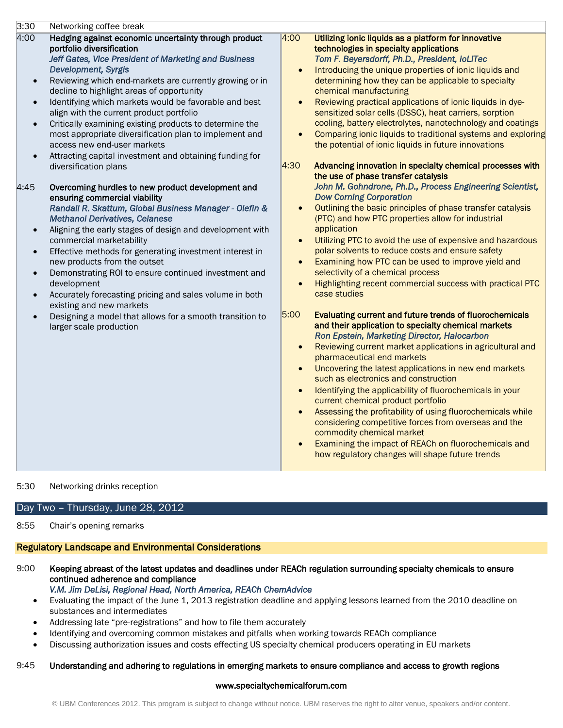| 3:30                                                                                                                              | Networking coffee break                                                                                                                                                                                                                                                                                                                                                                                                                                                                                                                                                                                                                                                                                                                                                                                                                                                                                                                                                                                                                                                                                                                                                                                                                                       |                                                                                                                                                    |                                                                                                                                                                                                                                                                                                                                                                                                                                                                                                                                                                                                                                                                                                                                                                                                                                                                                                                                                                                                                                                                                                                                                                                                                                                                                                                                                                                                                                                                                                                                                                                                                                                                                                                                                                                                                                                                                                                                                                   |
|-----------------------------------------------------------------------------------------------------------------------------------|---------------------------------------------------------------------------------------------------------------------------------------------------------------------------------------------------------------------------------------------------------------------------------------------------------------------------------------------------------------------------------------------------------------------------------------------------------------------------------------------------------------------------------------------------------------------------------------------------------------------------------------------------------------------------------------------------------------------------------------------------------------------------------------------------------------------------------------------------------------------------------------------------------------------------------------------------------------------------------------------------------------------------------------------------------------------------------------------------------------------------------------------------------------------------------------------------------------------------------------------------------------|----------------------------------------------------------------------------------------------------------------------------------------------------|-------------------------------------------------------------------------------------------------------------------------------------------------------------------------------------------------------------------------------------------------------------------------------------------------------------------------------------------------------------------------------------------------------------------------------------------------------------------------------------------------------------------------------------------------------------------------------------------------------------------------------------------------------------------------------------------------------------------------------------------------------------------------------------------------------------------------------------------------------------------------------------------------------------------------------------------------------------------------------------------------------------------------------------------------------------------------------------------------------------------------------------------------------------------------------------------------------------------------------------------------------------------------------------------------------------------------------------------------------------------------------------------------------------------------------------------------------------------------------------------------------------------------------------------------------------------------------------------------------------------------------------------------------------------------------------------------------------------------------------------------------------------------------------------------------------------------------------------------------------------------------------------------------------------------------------------------------------------|
| 4:00<br>$\bullet$<br>$\bullet$<br>$\bullet$<br>$\bullet$<br>4:45<br>$\bullet$<br>$\bullet$<br>$\bullet$<br>$\bullet$<br>$\bullet$ | Hedging against economic uncertainty through product<br>portfolio diversification<br>Jeff Gates, Vice President of Marketing and Business<br><b>Development, Syrgis</b><br>Reviewing which end-markets are currently growing or in<br>decline to highlight areas of opportunity<br>Identifying which markets would be favorable and best<br>align with the current product portfolio<br>Critically examining existing products to determine the<br>most appropriate diversification plan to implement and<br>access new end-user markets<br>Attracting capital investment and obtaining funding for<br>diversification plans<br>Overcoming hurdles to new product development and<br>ensuring commercial viability<br>Randall R. Skattum, Global Business Manager - Olefin &<br><b>Methanol Derivatives, Celanese</b><br>Aligning the early stages of design and development with<br>commercial marketability<br>Effective methods for generating investment interest in<br>new products from the outset<br>Demonstrating ROI to ensure continued investment and<br>development<br>Accurately forecasting pricing and sales volume in both<br>existing and new markets<br>Designing a model that allows for a smooth transition to<br>larger scale production | $\sqrt{4:00}$<br>$\bullet$<br>$\bullet$<br>$\bullet$<br>4:30<br>$\bullet$<br>$\bullet$<br>$\bullet$<br>5:00<br>$\bullet$<br>$\bullet$<br>$\bullet$ | Utilizing ionic liquids as a platform for innovative<br>technologies in specialty applications<br>Tom F. Beyersdorff, Ph.D., President, IoLiTec<br>Introducing the unique properties of ionic liquids and<br>determining how they can be applicable to specialty<br>chemical manufacturing<br>Reviewing practical applications of ionic liquids in dye-<br>sensitized solar cells (DSSC), heat carriers, sorption<br>cooling, battery electrolytes, nanotechnology and coatings<br>Comparing ionic liquids to traditional systems and exploring<br>the potential of ionic liquids in future innovations<br>Advancing innovation in specialty chemical processes with<br>the use of phase transfer catalysis<br>John M. Gohndrone, Ph.D., Process Engineering Scientist,<br><b>Dow Corning Corporation</b><br>Outlining the basic principles of phase transfer catalysis<br>(PTC) and how PTC properties allow for industrial<br>application<br>Utilizing PTC to avoid the use of expensive and hazardous<br>polar solvents to reduce costs and ensure safety<br>Examining how PTC can be used to improve yield and<br>selectivity of a chemical process<br>Highlighting recent commercial success with practical PTC<br>case studies<br>Evaluating current and future trends of fluorochemicals<br>and their application to specialty chemical markets<br>Ron Epstein, Marketing Director, Halocarbon<br>Reviewing current market applications in agricultural and<br>pharmaceutical end markets<br>Uncovering the latest applications in new end markets<br>such as electronics and construction<br>Identifying the applicability of fluorochemicals in your<br>current chemical product portfolio<br>Assessing the profitability of using fluorochemicals while<br>considering competitive forces from overseas and the<br>commodity chemical market<br>Examining the impact of REACh on fluorochemicals and<br>how regulatory changes will shape future trends |

### 5:30 Networking drinks reception

# Day Two – Thursday, June 28, 2012

### 8:55 Chair"s opening remarks

# Regulatory Landscape and Environmental Considerations

- 9:00 Keeping abreast of the latest updates and deadlines under REACh regulation surrounding specialty chemicals to ensure continued adherence and compliance
	- *V.M. Jim DeLisi, Regional Head, North America, REACh ChemAdvice*
	- Evaluating the impact of the June 1, 2013 registration deadline and applying lessons learned from the 2010 deadline on substances and intermediates
	- Addressing late "pre-registrations" and how to file them accurately
	- Identifying and overcoming common mistakes and pitfalls when working towards REACh compliance
	- Discussing authorization issues and costs effecting US specialty chemical producers operating in EU markets

# 9:45 Understanding and adhering to regulations in emerging markets to ensure compliance and access to growth regions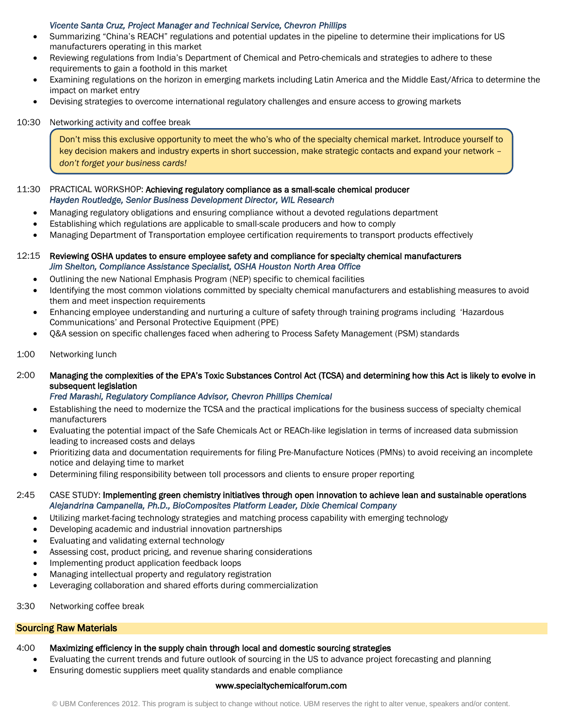## *Vicente Santa Cruz, Project Manager and Technical Service, Chevron Phillips*

- Summarizing "China"s REACH" regulations and potential updates in the pipeline to determine their implications for US manufacturers operating in this market
- Reviewing regulations from India"s Department of Chemical and Petro-chemicals and strategies to adhere to these requirements to gain a foothold in this market
- Examining regulations on the horizon in emerging markets including Latin America and the Middle East/Africa to determine the impact on market entry
- Devising strategies to overcome international regulatory challenges and ensure access to growing markets

### 10:30 Networking activity and coffee break

Don"t miss this exclusive opportunity to meet the who"s who of the specialty chemical market. Introduce yourself to key decision makers and industry experts in short succession, make strategic contacts and expand your network – *don't forget your business cards!*

### 11:30 PRACTICAL WORKSHOP: Achieving regulatory compliance as a small-scale chemical producer *Hayden Routledge, Senior Business Development Director, WIL Research*

- Managing regulatory obligations and ensuring compliance without a devoted regulations department
- Establishing which regulations are applicable to small-scale producers and how to comply
- Managing Department of Transportation employee certification requirements to transport products effectively
- 12:15 Reviewing OSHA updates to ensure employee safety and compliance for specialty chemical manufacturers *Jim Shelton, Compliance Assistance Specialist, OSHA Houston North Area Office* 
	- Outlining the new National Emphasis Program (NEP) specific to chemical facilities
	- Identifying the most common violations committed by specialty chemical manufacturers and establishing measures to avoid them and meet inspection requirements
	- Enhancing employee understanding and nurturing a culture of safety through training programs including "Hazardous Communications" and Personal Protective Equipment (PPE)
	- Q&A session on specific challenges faced when adhering to Process Safety Management (PSM) standards
- 1:00 Networking lunch
- 2:00 Managing the complexities of the EPA"s Toxic Substances Control Act (TCSA) and determining how this Act is likely to evolve in subsequent legislation

### *Fred Marashi, Regulatory Compliance Advisor, Chevron Phillips Chemical*

- Establishing the need to modernize the TCSA and the practical implications for the business success of specialty chemical manufacturers
- Evaluating the potential impact of the Safe Chemicals Act or REACh-like legislation in terms of increased data submission leading to increased costs and delays
- Prioritizing data and documentation requirements for filing Pre-Manufacture Notices (PMNs) to avoid receiving an incomplete notice and delaying time to market
- Determining filing responsibility between toll processors and clients to ensure proper reporting

## 2:45 CASE STUDY: Implementing green chemistry initiatives through open innovation to achieve lean and sustainable operations *Alejandrina Campanella, Ph.D., BioComposites Platform Leader, Dixie Chemical Company*

- Utilizing market-facing technology strategies and matching process capability with emerging technology
- Developing academic and industrial innovation partnerships
- Evaluating and validating external technology
- Assessing cost, product pricing, and revenue sharing considerations
- Implementing product application feedback loops
- Managing intellectual property and regulatory registration
- Leveraging collaboration and shared efforts during commercialization
- 3:30 Networking coffee break

## Sourcing Raw Materials

### 4:00 Maximizing efficiency in the supply chain through local and domestic sourcing strategies

- Evaluating the current trends and future outlook of sourcing in the US to advance project forecasting and planning
- Ensuring domestic suppliers meet quality standards and enable compliance